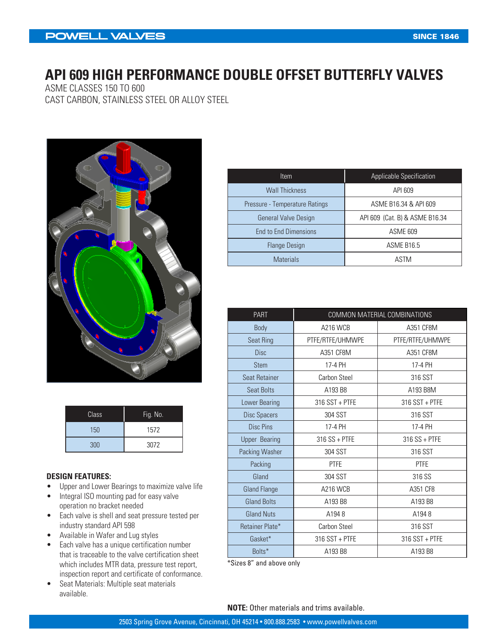## **API 609 HIGH PERFORMANCE DOUBLE OFFSET BUTTERFLY VALVES**

ASME CLASSES 150 TO 600 CAST CARBON, STAINLESS STEEL OR ALLOY STEEL



| Class | Fig. No. |
|-------|----------|
| 150   | 1572     |
| 300   | 3072     |

#### **DESIGN FEATURES:**

- Upper and Lower Bearings to maximize valve life
- Integral ISO mounting pad for easy valve operation no bracket needed
- Each valve is shell and seat pressure tested per industry standard API 598
- Available in Wafer and Lug styles
- Each valve has a unique certification number that is traceable to the valve certification sheet which includes MTR data, pressure test report, inspection report and certificate of conformance.
- Seat Materials: Multiple seat materials available.

| ltem                           | Applicable Specification       |
|--------------------------------|--------------------------------|
| <b>Wall Thickness</b>          | API 609                        |
| Pressure - Temperature Ratings | ASME B16.34 & API 609          |
| <b>General Valve Design</b>    | API 609 (Cat. B) & ASME B16.34 |
| <b>End to End Dimensions</b>   | <b>ASME 609</b>                |
| <b>Flange Design</b>           | ASME B16.5                     |
| <b>Materials</b>               | ASTM                           |

| <b>PART</b>          | COMMON MATERIAL COMBINATIONS |                  |  |  |  |  |  |  |
|----------------------|------------------------------|------------------|--|--|--|--|--|--|
| Body                 | <b>A216 WCB</b>              | A351 CF8M        |  |  |  |  |  |  |
| Seat Ring            | PTFE/RTFE/UHMWPE             | PTFE/RTFE/UHMWPE |  |  |  |  |  |  |
| <b>Disc</b>          | A351 CF8M                    | A351 CF8M        |  |  |  |  |  |  |
| <b>Stem</b>          | 17-4 PH                      | 17-4 PH          |  |  |  |  |  |  |
| <b>Seat Retainer</b> | Carbon Steel                 | 316 SST          |  |  |  |  |  |  |
| <b>Seat Bolts</b>    | A193 B8                      | A193 B8M         |  |  |  |  |  |  |
| Lower Bearing        | $316$ SST + PTFE             | 316 SST + PTFE   |  |  |  |  |  |  |
| Disc Spacers         | 304 SST                      | 316 SST          |  |  |  |  |  |  |
| Disc Pins            | 17-4 PH                      | 17-4 PH          |  |  |  |  |  |  |
| <b>Upper Bearing</b> | $316 SS + PTFE$              | $316$ SS + PTFE  |  |  |  |  |  |  |
| Packing Washer       | 304 SST                      | 316 SST          |  |  |  |  |  |  |
| Packing              | <b>PTFE</b>                  | <b>PTFE</b>      |  |  |  |  |  |  |
| Gland                | 304 SST                      | 316 SS           |  |  |  |  |  |  |
| <b>Gland Flange</b>  | <b>A216 WCB</b>              | A351 CF8         |  |  |  |  |  |  |
| <b>Gland Bolts</b>   | A193 B8                      | A193 B8          |  |  |  |  |  |  |
| <b>Gland Nuts</b>    | A1948                        | A1948            |  |  |  |  |  |  |
| Retainer Plate*      | <b>Carbon Steel</b>          | 316 SST          |  |  |  |  |  |  |
| Gasket*              | 316 SST + PTFE               | 316 SST + PTFE   |  |  |  |  |  |  |
| Bolts*               | A193 B8                      | A193 B8          |  |  |  |  |  |  |

\*Sizes 8" and above only

**NOTE:** Other materials and trims available.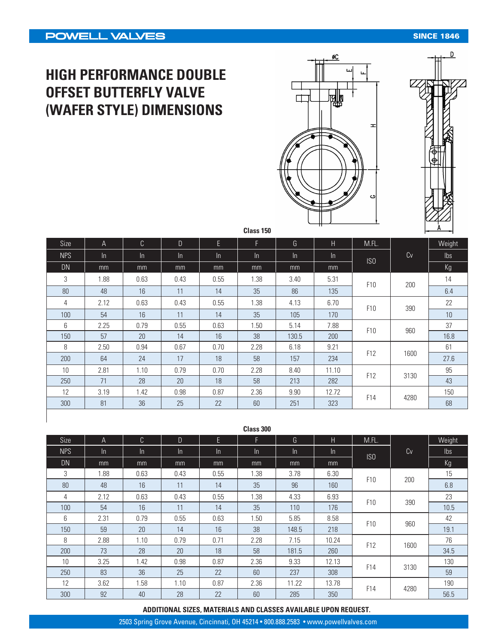#### **SINCE 1846**

# **HIGH PERFORMANCE DOUBLE OFFSET BUTTERFLY VALVE (WAFER STYLE) DIMENSIONS**





| Size       | A     | C     | D     | E     | F     | G     | Н     | M.FL.           |      | Weight          |
|------------|-------|-------|-------|-------|-------|-------|-------|-----------------|------|-----------------|
| <b>NPS</b> | $\ln$ | $\ln$ | $\ln$ | $\ln$ | $\ln$ | $\ln$ | $\ln$ | ISO             | Cv   | lbs             |
| <b>DN</b>  | mm    | mm    | mm    | mm    | mm    | mm    | mm    |                 |      | Kg              |
| 3          | 1.88  | 0.63  | 0.43  | 0.55  | 1.38  | 3.40  | 5.31  | F10             | 200  | 14              |
| 80         | 48    | 16    | 11    | 14    | 35    | 86    | 135   |                 |      | 6.4             |
| 4          | 2.12  | 0.63  | 0.43  | 0.55  | 1.38  | 4.13  | 6.70  | F10             | 390  | 22              |
| 100        | 54    | 16    | 11    | 14    | 35    | 105   | 170   |                 |      | 10 <sup>°</sup> |
| 6          | 2.25  | 0.79  | 0.55  | 0.63  | 1.50  | 5.14  | 7.88  | F <sub>10</sub> | 960  | 37              |
| 150        | 57    | 20    | 14    | 16    | 38    | 130.5 | 200   |                 |      | 16.8            |
| 8          | 2.50  | 0.94  | 0.67  | 0.70  | 2.28  | 6.18  | 9.21  |                 |      | 61              |
| 200        | 64    | 24    | 17    | 18    | 58    | 157   | 234   | F12             | 1600 | 27.6            |
| 10         | 2.81  | 1.10  | 0.79  | 0.70  | 2.28  | 8.40  | 11.10 |                 |      | 95              |
| 250        | 71    | 28    | 20    | 18    | 58    | 213   | 282   | F12             | 3130 | 43              |
| 12         | 3.19  | 1.42  | 0.98  | 0.87  | 2.36  | 9.90  | 12.72 |                 |      | 150             |
| 300        | 81    | 36    | 25    | 22    | 60    | 251   | 323   | F14             | 4280 | 68              |

| Class 300  |       |       |      |       |       |       |       |                 |             |                |
|------------|-------|-------|------|-------|-------|-------|-------|-----------------|-------------|----------------|
| Size       | A     | C.    | D.   | E     | F.    | G     | H.    | M.FL.           |             | Weight         |
| <b>NPS</b> | $\ln$ | $\ln$ | In.  | $\ln$ | $\ln$ | $\ln$ | $\ln$ | ISO             | Cv          | $\mathsf{lbs}$ |
| <b>DN</b>  | mm    | mm    | mm   | mm    | mm    | mm    | mm    |                 |             | Kg             |
| 3          | 1.88  | 0.63  | 0.43 | 0.55  | 1.38  | 3.78  | 6.30  |                 |             | 15             |
| 80         | 48    | 16    | 11   | 14    | 35    | 96    | 160   | F <sub>10</sub> | 200         | 6.8            |
| 4          | 2.12  | 0.63  | 0.43 | 0.55  | 1.38  | 4.33  | 6.93  | F <sub>10</sub> | 390         | 23             |
| 100        | 54    | 16    | 11   | 14    | 35    | 110   | 176   |                 |             | 10.5           |
| 6          | 2.31  | 0.79  | 0.55 | 0.63  | 1.50  | 5.85  | 8.58  | F <sub>10</sub> |             | 42             |
| 150        | 59    | 20    | 14   | 16    | 38    | 148.5 | 218   |                 | 960         | 19.1           |
| 8          | 2.88  | 1.10  | 0.79 | 0.71  | 2.28  | 7.15  | 10.24 | F12             | 1600        | 76             |
| 200        | 73    | 28    | 20   | 18    | 58    | 181.5 | 260   |                 |             | 34.5           |
| 10         | 3.25  | 1.42  | 0.98 | 0.87  | 2.36  | 9.33  | 12.13 | F14             |             | 130            |
| 250        | 83    | 36    | 25   | 22    | 60    | 237   | 308   |                 | 3130        | 59             |
| 12         | 3.62  | 1.58  | 1.10 | 0.87  | 2.36  | 11.22 | 13.78 |                 |             | 190            |
| 300        | 92    | 40    | 28   | 22    | 60    | 285   | 350   |                 | F14<br>4280 |                |

#### **ADDITIONAL SIZES, MATERIALS AND CLASSES AVAILABLE UPON REQUEST.**

2503 Spring Grove Avenue, Cincinnati, OH 45214 • 800.888.2583 • www.powellvalves.com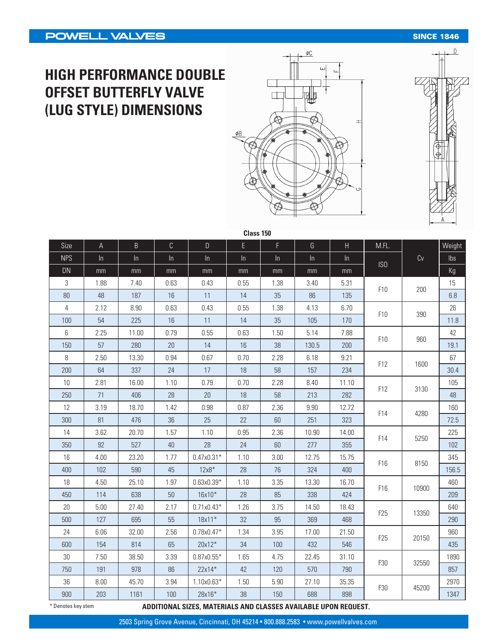### **SINCE 1846**

# **HIGH PERFORMANCE DOUBLE OFFSET BUTTERFLY VALVE (LUG STYLE) DIMENSIONS**





| Size           | $\mathsf A$ | $\mathsf B$ | $\mathsf C$ | $\mathsf{D}%$ | Ė     | F.   | G     | $\overline{H}$ | M.FL.           |       | Weight         |
|----------------|-------------|-------------|-------------|---------------|-------|------|-------|----------------|-----------------|-------|----------------|
| <b>NPS</b>     | ln          | ln          | $\ln$       | ln            | $\ln$ | ln   | ln    | ln             |                 | Cv    | $\mathsf{lbs}$ |
| <b>DN</b>      | mm          | mm          | mm          | mm            | mm    | mm   | mm    | mm             | ISO             |       | Kg             |
| 3              | 1.88        | 7.40        | 0.63        | 0.43          | 0.55  | 1.38 | 3.40  | 5.31           |                 |       | 15             |
| $80\,$         | 48          | 187         | 16          | 11            | 14    | 35   | 86    | 135            | F10             | 200   | 6.8            |
| $\overline{4}$ | 2.12        | 8.90        | 0.63        | 0.43          | 0.55  | 1.38 | 4.13  | 6.70           | F10             | 390   | 26             |
| 100            | 54          | 225         | 16          | 11            | 14    | 35   | 105   | 170            |                 |       | 11.8           |
| 6              | 2.25        | 11.00       | 0.79        | 0.55          | 0.63  | 1.50 | 5.14  | 7.88           | F10             | 960   | 42             |
| 150            | 57          | 280         | 20          | 14            | 16    | 38   | 130.5 | 200            |                 |       | 19.1           |
| $\, 8$         | 2.50        | 13.30       | 0.94        | 0.67          | 0.70  | 2.28 | 6.18  | 9.21           |                 |       | 67             |
| 200            | 64          | 337         | 24          | 17            | 18    | 58   | 157   | 234            | F12             | 1600  | 30.4           |
| 10             | 2.81        | 16.00       | 1.10        | 0.79          | 0.70  | 2.28 | 8.40  | 11.10          |                 | 3130  | 105            |
| 250            | 71          | 406         | 28          | 20            | 18    | 58   | 213   | 282            | F12             |       | 48             |
| 12             | 3.19        | 18.70       | 1.42        | 0.98          | 0.87  | 2.36 | 9.90  | 12.72          | F14             | 4280  | 160            |
| 300            | 81          | 476         | 36          | 25            | 22    | 60   | 251   | 323            |                 |       | 72.5           |
| 14             | 3.62        | 20.70       | 1.57        | 1.10          | 0.95  | 2.36 | 10.90 | 14.00          | F14             |       | 225            |
| 350            | 92          | 527         | 40          | 28            | 24    | 60   | 277   | 355            |                 | 5250  | 102            |
| 16             | 4.00        | 23.20       | 1.77        | $0.47x0.31*$  | 1.10  | 3.00 | 12.75 | 15.75          | F16             |       | 345            |
| 400            | 102         | 590         | 45          | $12x8*$       | 28    | 76   | 324   | 400            |                 | 8150  | 156.5          |
| 18             | 4.50        | 25.10       | 1.97        | $0.63x0.39*$  | 1.10  | 3.35 | 13.30 | 16.70          |                 |       | 460            |
| 450            | 114         | 638         | $50\,$      | 16x10*        | 28    | 85   | 338   | 424            | F16             | 10900 | 209            |
| $20\,$         | 5.00        | 27.40       | 2.17        | $0.71x0.43*$  | 1.26  | 3.75 | 14.50 | 18.43          | F <sub>25</sub> |       | 640            |
| 500            | 127         | 695         | 55          | 18x11*        | 32    | 95   | 369   | 468            |                 | 13350 | 290            |
| 24             | 6.06        | 32.00       | 2.56        | $0.78x0.47*$  | 1.34  | 3.95 | 17.00 | 21.50          | F25             |       | 960            |
| 600            | 154         | 814         | 65          | 20x12*        | 34    | 100  | 432   | 546            |                 | 20150 | 435            |
| $30\,$         | 7.50        | 38.50       | 3.39        | $0.87x0.55*$  | 1.65  | 4.75 | 22.45 | 31.10          | F30             |       | 1890           |
| 750            | 191         | 978         | 86          | 22x14*        | 42    | 120  | 570   | 790            |                 | 32550 | 857            |
| 36             | 8.00        | 45.70       | 3.94        | 1.10x0.63*    | 1.50  | 5.90 | 27.10 | 35.35          | F30             |       | 2970           |
| 900            | 203         | 1161        | 100         | 28x16*        | 38    | 150  | 688   | 898            |                 | 45200 | 1347           |

**Class 150**

**ADDITIONAL SIZES, MATERIALS AND CLASSES AVAILABLE UPON REQUEST.** \* Denotes key stem

2503 Spring Grove Avenue, Cincinnati, OH 45214 • 800.888.2583 • www.powellvalves.com